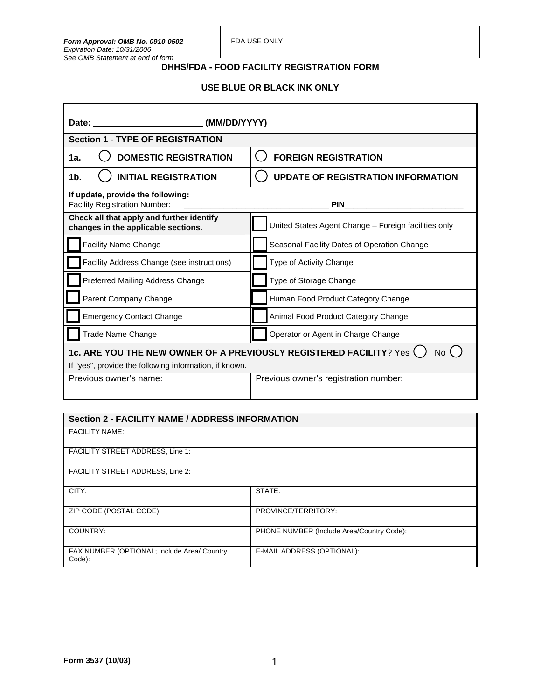# **USE BLUE OR BLACK INK ONLY**

| Date: the contract of the contract of the contract of the contract of the contract of the contract of the contract of the contract of the contract of the contract of the contract of the contract of the contract of the cont<br>(MM/DD/YYYY) |                                                      |  |
|------------------------------------------------------------------------------------------------------------------------------------------------------------------------------------------------------------------------------------------------|------------------------------------------------------|--|
| <b>Section 1 - TYPE OF REGISTRATION</b>                                                                                                                                                                                                        |                                                      |  |
| <b>DOMESTIC REGISTRATION</b><br>1a.                                                                                                                                                                                                            | <b>FOREIGN REGISTRATION</b>                          |  |
| <b>INITIAL REGISTRATION</b><br>1b.                                                                                                                                                                                                             | <b>UPDATE OF REGISTRATION INFORMATION</b>            |  |
| If update, provide the following:<br><b>Facility Registration Number:</b>                                                                                                                                                                      | <b>PIN</b>                                           |  |
| Check all that apply and further identify<br>changes in the applicable sections.                                                                                                                                                               | United States Agent Change - Foreign facilities only |  |
| <b>Facility Name Change</b>                                                                                                                                                                                                                    | Seasonal Facility Dates of Operation Change          |  |
| Facility Address Change (see instructions)                                                                                                                                                                                                     | Type of Activity Change                              |  |
| Preferred Mailing Address Change                                                                                                                                                                                                               | Type of Storage Change                               |  |
| Parent Company Change                                                                                                                                                                                                                          | Human Food Product Category Change                   |  |
| <b>Emergency Contact Change</b>                                                                                                                                                                                                                | Animal Food Product Category Change                  |  |
| Trade Name Change                                                                                                                                                                                                                              | Operator or Agent in Charge Change                   |  |
| 1c. ARE YOU THE NEW OWNER OF A PREVIOUSLY REGISTERED FACILITY? Yes<br>No                                                                                                                                                                       |                                                      |  |
| If "yes", provide the following information, if known.                                                                                                                                                                                         |                                                      |  |
| Previous owner's name:                                                                                                                                                                                                                         | Previous owner's registration number:                |  |

### **Section 2 - FACILITY NAME / ADDRESS INFORMATION**

FACILITY NAME:

FACILITY STREET ADDRESS, Line 1:

FACILITY STREET ADDRESS, Line 2:

| CITY:                                                 | STATE:                                    |
|-------------------------------------------------------|-------------------------------------------|
|                                                       |                                           |
| ZIP CODE (POSTAL CODE):                               | PROVINCE/TERRITORY:                       |
|                                                       |                                           |
| COUNTRY:                                              | PHONE NUMBER (Include Area/Country Code): |
| FAX NUMBER (OPTIONAL; Include Area/ Country<br>Code): | E-MAIL ADDRESS (OPTIONAL):                |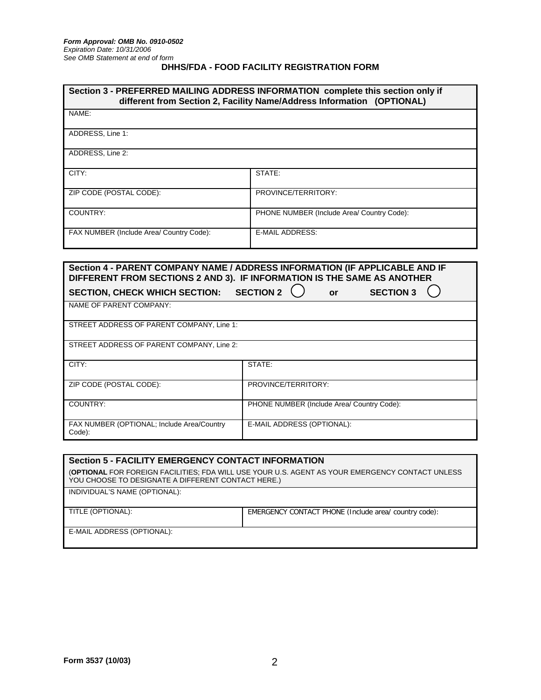| Section 3 - PREFERRED MAILING ADDRESS INFORMATION complete this section only if<br>different from Section 2, Facility Name/Address Information (OPTIONAL) |                                            |
|-----------------------------------------------------------------------------------------------------------------------------------------------------------|--------------------------------------------|
| NAME:                                                                                                                                                     |                                            |
| ADDRESS, Line 1:                                                                                                                                          |                                            |
| ADDRESS, Line 2:                                                                                                                                          |                                            |
| CITY:                                                                                                                                                     | STATE:                                     |
| ZIP CODE (POSTAL CODE):                                                                                                                                   | PROVINCE/TERRITORY:                        |
| COUNTRY:                                                                                                                                                  | PHONE NUMBER (Include Area/ Country Code): |
| FAX NUMBER (Include Area/ Country Code):                                                                                                                  | <b>E-MAIL ADDRESS:</b>                     |
|                                                                                                                                                           |                                            |
| Section 4 - PARENT COMPANY NAME / ADDRESS INFORMATION (IF APPLICABLE AND IF<br>DIEEEDENT EDAM GEGTIONG 2 AND 2). IE INFODMATION IG THE GAME AG ANOTHED    |                                            |

| DIFFERENT FROM SECTIONS 2 AND 3). IF INFORMATION IS THE SAME AS ANOTHER |                                            |
|-------------------------------------------------------------------------|--------------------------------------------|
| <b>SECTION, CHECK WHICH SECTION:</b>                                    | <b>SECTION 2</b><br><b>SECTION 3</b><br>or |
| NAME OF PARENT COMPANY:                                                 |                                            |
| STREET ADDRESS OF PARENT COMPANY, Line 1:                               |                                            |
| STREET ADDRESS OF PARENT COMPANY, Line 2:                               |                                            |
| CITY:                                                                   | STATE:                                     |
| ZIP CODE (POSTAL CODE):                                                 | PROVINCE/TERRITORY:                        |
| COUNTRY:                                                                | PHONE NUMBER (Include Area/ Country Code): |
| FAX NUMBER (OPTIONAL; Include Area/Country<br>Code):                    | E-MAIL ADDRESS (OPTIONAL):                 |

| <b>Section 5 - FACILITY EMERGENCY CONTACT INFORMATION</b>                                                                                             |                                                       |  |
|-------------------------------------------------------------------------------------------------------------------------------------------------------|-------------------------------------------------------|--|
| (OPTIONAL FOR FOREIGN FACILITIES; FDA WILL USE YOUR U.S. AGENT AS YOUR EMERGENCY CONTACT UNLESS<br>YOU CHOOSE TO DESIGNATE A DIFFERENT CONTACT HERE.) |                                                       |  |
| INDIVIDUAL'S NAME (OPTIONAL):                                                                                                                         |                                                       |  |
| TITLE (OPTIONAL):                                                                                                                                     | EMERGENCY CONTACT PHONE (Include area/ country code): |  |
| E-MAIL ADDRESS (OPTIONAL):                                                                                                                            |                                                       |  |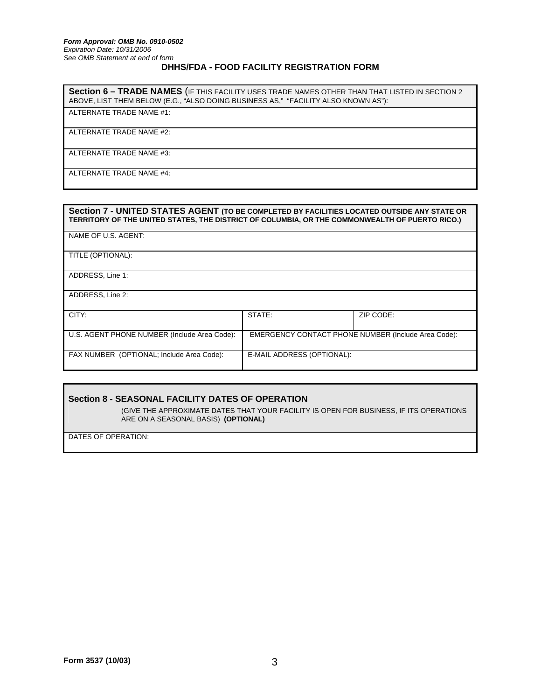**Section 6 – TRADE NAMES** (IF THIS FACILITY USES TRADE NAMES OTHER THAN THAT LISTED IN SECTION 2 ABOVE, LIST THEM BELOW (E.G., "ALSO DOING BUSINESS AS," "FACILITY ALSO KNOWN AS"):

ALTERNATE TRADE NAME #1:

ALTERNATE TRADE NAME #2:

ALTERNATE TRADE NAME #3:

ALTERNATE TRADE NAME #4:

| Section 7 - UNITED STATES AGENT (TO BE COMPLETED BY FACILITIES LOCATED OUTSIDE ANY STATE OR<br>TERRITORY OF THE UNITED STATES, THE DISTRICT OF COLUMBIA, OR THE COMMONWEALTH OF PUERTO RICO.) |                            |                                                     |
|-----------------------------------------------------------------------------------------------------------------------------------------------------------------------------------------------|----------------------------|-----------------------------------------------------|
| NAME OF U.S. AGENT:                                                                                                                                                                           |                            |                                                     |
| TITLE (OPTIONAL):                                                                                                                                                                             |                            |                                                     |
| ADDRESS, Line 1:                                                                                                                                                                              |                            |                                                     |
| ADDRESS, Line 2:                                                                                                                                                                              |                            |                                                     |
| CITY:                                                                                                                                                                                         | STATE:                     | ZIP CODE:                                           |
| U.S. AGENT PHONE NUMBER (Include Area Code):                                                                                                                                                  |                            | EMERGENCY CONTACT PHONE NUMBER (Include Area Code): |
| FAX NUMBER (OPTIONAL; Include Area Code):                                                                                                                                                     | E-MAIL ADDRESS (OPTIONAL): |                                                     |

### **Section 8 - SEASONAL FACILITY DATES OF OPERATION**

 (GIVE THE APPROXIMATE DATES THAT YOUR FACILITY IS OPEN FOR BUSINESS, IF ITS OPERATIONS ARE ON A SEASONAL BASIS) **(OPTIONAL)**

DATES OF OPERATION: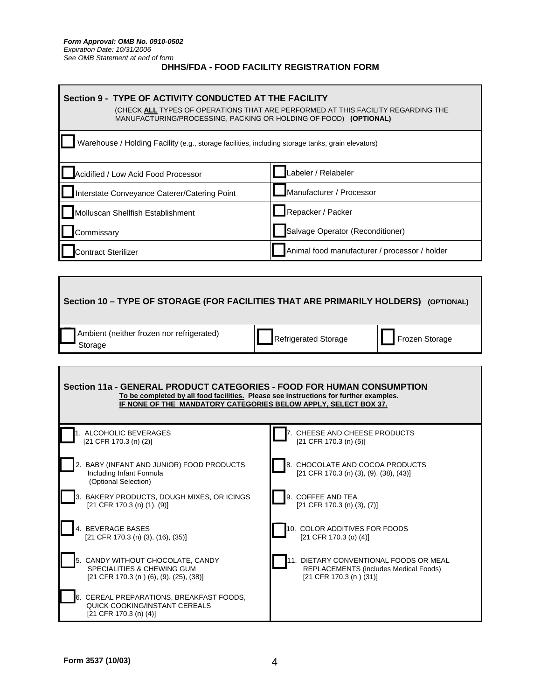$\mathbf{r}$ 

| Section 9 - TYPE OF ACTIVITY CONDUCTED AT THE FACILITY<br>(CHECK ALL TYPES OF OPERATIONS THAT ARE PERFORMED AT THIS FACILITY REGARDING THE<br>MANUFACTURING/PROCESSING, PACKING OR HOLDING OF FOOD) (OPTIONAL) |                                               |  |
|----------------------------------------------------------------------------------------------------------------------------------------------------------------------------------------------------------------|-----------------------------------------------|--|
| Warehouse / Holding Facility (e.g., storage facilities, including storage tanks, grain elevators)                                                                                                              |                                               |  |
| Acidified / Low Acid Food Processor                                                                                                                                                                            | Labeler / Relabeler                           |  |
| Interstate Conveyance Caterer/Catering Point                                                                                                                                                                   | Manufacturer / Processor                      |  |
| Molluscan Shellfish Establishment                                                                                                                                                                              | Repacker / Packer                             |  |
| Commissary                                                                                                                                                                                                     | Salvage Operator (Reconditioner)              |  |
| Contract Sterilizer                                                                                                                                                                                            | Animal food manufacturer / processor / holder |  |

| Section 10 - TYPE OF STORAGE (FOR FACILITIES THAT ARE PRIMARILY HOLDERS) (OPTIONAL)                                                                                                                                               |                                                                              |  |
|-----------------------------------------------------------------------------------------------------------------------------------------------------------------------------------------------------------------------------------|------------------------------------------------------------------------------|--|
| Ambient (neither frozen nor refrigerated)                                                                                                                                                                                         | <b>Refrigerated Storage</b>                                                  |  |
| Storage                                                                                                                                                                                                                           | Frozen Storage                                                               |  |
| Section 11a - GENERAL PRODUCT CATEGORIES - FOOD FOR HUMAN CONSUMPTION<br>To be completed by all food facilities. Please see instructions for further examples.<br>IF NONE OF THE MANDATORY CATEGORIES BELOW APPLY, SELECT BOX 37. |                                                                              |  |
| 1. ALCOHOLIC BEVERAGES                                                                                                                                                                                                            | 7. CHEESE AND CHEESE PRODUCTS                                                |  |
| [21 CFR 170.3 (n) (2)]                                                                                                                                                                                                            | $[21$ CFR 170.3 (n) (5)]                                                     |  |
| 2. BABY (INFANT AND JUNIOR) FOOD PRODUCTS<br>Including Infant Formula<br>(Optional Selection)                                                                                                                                     | 8. CHOCOLATE AND COCOA PRODUCTS<br>$[21$ CFR 170.3 (n) (3), (9), (38), (43)] |  |
| 3. BAKERY PRODUCTS, DOUGH MIXES, OR ICINGS                                                                                                                                                                                        | 9. COFFEE AND TEA                                                            |  |
| $[21$ CFR 170.3 (n) (1), (9)]                                                                                                                                                                                                     | $[21$ CFR 170.3 (n) (3), (7)]                                                |  |
| 4. BEVERAGE BASES                                                                                                                                                                                                                 | 10. COLOR ADDITIVES FOR FOODS                                                |  |
| $[21$ CFR 170.3 (n) (3), (16), (35)]                                                                                                                                                                                              | $[21$ CFR 170.3 (o) (4)]                                                     |  |
| 5. CANDY WITHOUT CHOCOLATE, CANDY                                                                                                                                                                                                 | 11. DIETARY CONVENTIONAL FOODS OR MEAL                                       |  |
| SPECIALITIES & CHEWING GUM                                                                                                                                                                                                        | <b>REPLACEMENTS (includes Medical Foods)</b>                                 |  |
| [21 CFR 170.3 (n) (6), (9), (25), (38)]                                                                                                                                                                                           | $[21$ CFR 170.3 (n) (31)]                                                    |  |
| 6. CEREAL PREPARATIONS, BREAKFAST FOODS,<br>QUICK COOKING/INSTANT CEREALS<br>$[21$ CFR 170.3 (n) (4)]                                                                                                                             |                                                                              |  |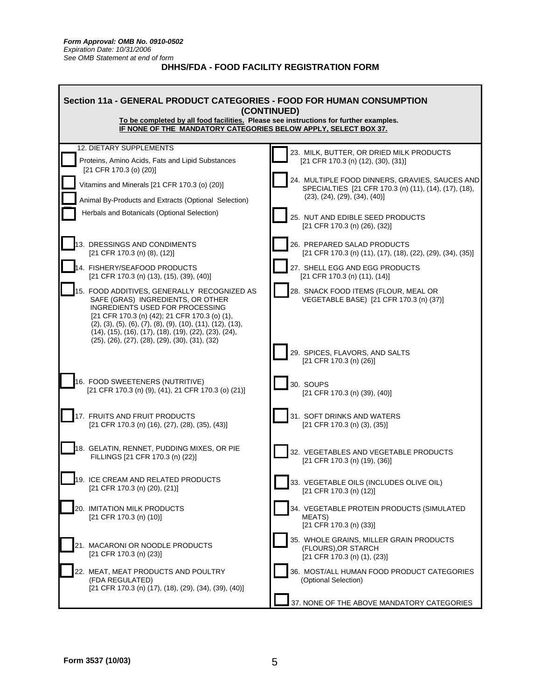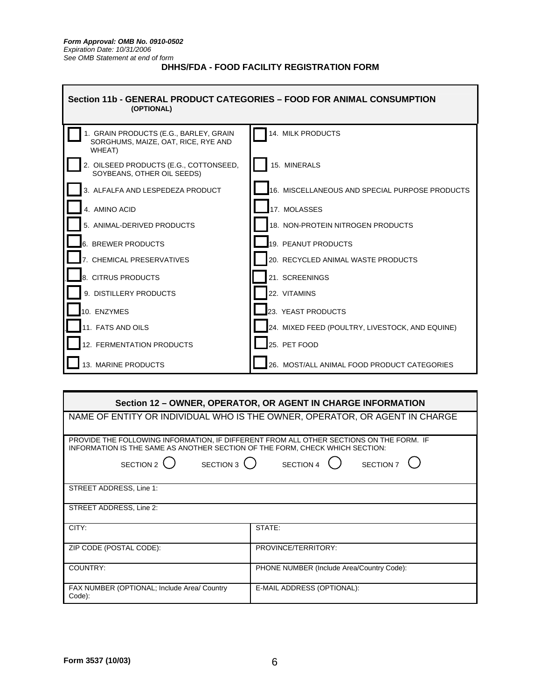

| Section 12 - OWNER, OPERATOR, OR AGENT IN CHARGE INFORMATION                                                                                                            |                                                                             |  |  |
|-------------------------------------------------------------------------------------------------------------------------------------------------------------------------|-----------------------------------------------------------------------------|--|--|
|                                                                                                                                                                         | NAME OF ENTITY OR INDIVIDUAL WHO IS THE OWNER, OPERATOR, OR AGENT IN CHARGE |  |  |
| PROVIDE THE FOLLOWING INFORMATION, IF DIFFERENT FROM ALL OTHER SECTIONS ON THE FORM. IF<br>INFORMATION IS THE SAME AS ANOTHER SECTION OF THE FORM, CHECK WHICH SECTION: |                                                                             |  |  |
| SECTION 2 $\bigcirc$ SECTION 3 $\bigcirc$ SECTION 4 $\bigcirc$ SECTION 7                                                                                                |                                                                             |  |  |
| STREET ADDRESS, Line 1:                                                                                                                                                 |                                                                             |  |  |
| STREET ADDRESS, Line 2:                                                                                                                                                 |                                                                             |  |  |
| CITY:                                                                                                                                                                   | STATE:                                                                      |  |  |
| ZIP CODE (POSTAL CODE):                                                                                                                                                 | PROVINCE/TERRITORY:                                                         |  |  |
| COUNTRY:                                                                                                                                                                | PHONE NUMBER (Include Area/Country Code):                                   |  |  |
| FAX NUMBER (OPTIONAL; Include Area/ Country<br>Code):                                                                                                                   | E-MAIL ADDRESS (OPTIONAL):                                                  |  |  |